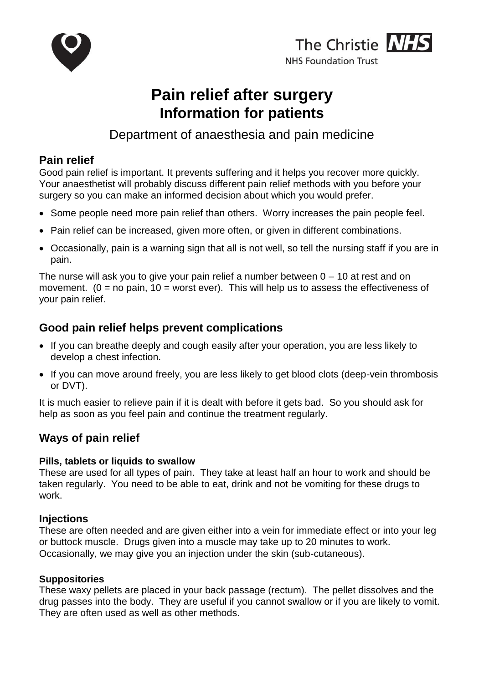



# **Pain relief after surgery Information for patients**

Department of anaesthesia and pain medicine

# **Pain relief**

Good pain relief is important. It prevents suffering and it helps you recover more quickly. Your anaesthetist will probably discuss different pain relief methods with you before your surgery so you can make an informed decision about which you would prefer.

- Some people need more pain relief than others. Worry increases the pain people feel.
- Pain relief can be increased, given more often, or given in different combinations.
- Occasionally, pain is a warning sign that all is not well, so tell the nursing staff if you are in pain.

The nurse will ask you to give your pain relief a number between  $0 - 10$  at rest and on movement. ( $0 = no$  pain,  $10 =$  worst ever). This will help us to assess the effectiveness of your pain relief.

# **Good pain relief helps prevent complications**

- If you can breathe deeply and cough easily after your operation, you are less likely to develop a chest infection.
- If you can move around freely, you are less likely to get blood clots (deep-vein thrombosis or DVT).

It is much easier to relieve pain if it is dealt with before it gets bad. So you should ask for help as soon as you feel pain and continue the treatment regularly.

# **Ways of pain relief**

#### **Pills, tablets or liquids to swallow**

These are used for all types of pain. They take at least half an hour to work and should be taken regularly. You need to be able to eat, drink and not be vomiting for these drugs to work.

### **Injections**

These are often needed and are given either into a vein for immediate effect or into your leg or buttock muscle. Drugs given into a muscle may take up to 20 minutes to work. Occasionally, we may give you an injection under the skin (sub-cutaneous).

### **Suppositories**

These waxy pellets are placed in your back passage (rectum). The pellet dissolves and the drug passes into the body. They are useful if you cannot swallow or if you are likely to vomit. They are often used as well as other methods.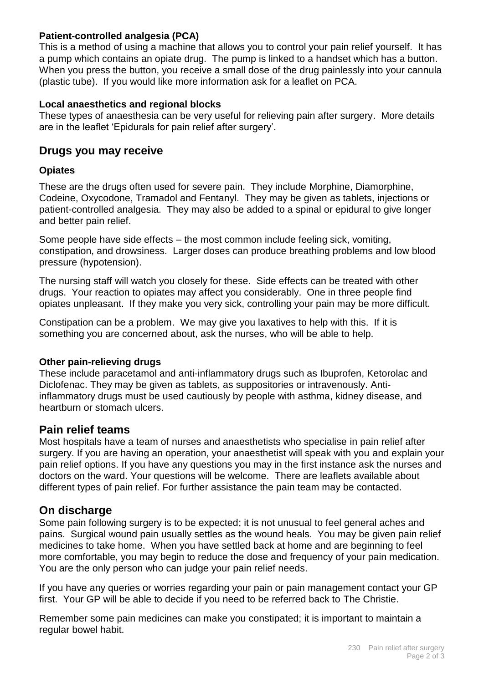#### **Patient-controlled analgesia (PCA)**

This is a method of using a machine that allows you to control your pain relief yourself. It has a pump which contains an opiate drug. The pump is linked to a handset which has a button. When you press the button, you receive a small dose of the drug painlessly into your cannula (plastic tube). If you would like more information ask for a leaflet on PCA.

#### **Local anaesthetics and regional blocks**

These types of anaesthesia can be very useful for relieving pain after surgery. More details are in the leaflet 'Epidurals for pain relief after surgery'.

### **Drugs you may receive**

#### **Opiates**

These are the drugs often used for severe pain. They include Morphine, Diamorphine, Codeine, Oxycodone, Tramadol and Fentanyl. They may be given as tablets, injections or patient-controlled analgesia. They may also be added to a spinal or epidural to give longer and better pain relief.

Some people have side effects – the most common include feeling sick, vomiting, constipation, and drowsiness. Larger doses can produce breathing problems and low blood pressure (hypotension).

The nursing staff will watch you closely for these. Side effects can be treated with other drugs. Your reaction to opiates may affect you considerably. One in three people find opiates unpleasant. If they make you very sick, controlling your pain may be more difficult.

Constipation can be a problem. We may give you laxatives to help with this. If it is something you are concerned about, ask the nurses, who will be able to help.

#### **Other pain-relieving drugs**

These include paracetamol and anti-inflammatory drugs such as Ibuprofen, Ketorolac and Diclofenac. They may be given as tablets, as suppositories or intravenously. Antiinflammatory drugs must be used cautiously by people with asthma, kidney disease, and heartburn or stomach ulcers.

### **Pain relief teams**

Most hospitals have a team of nurses and anaesthetists who specialise in pain relief after surgery. If you are having an operation, your anaesthetist will speak with you and explain your pain relief options. If you have any questions you may in the first instance ask the nurses and doctors on the ward. Your questions will be welcome. There are leaflets available about different types of pain relief. For further assistance the pain team may be contacted.

### **On discharge**

Some pain following surgery is to be expected; it is not unusual to feel general aches and pains. Surgical wound pain usually settles as the wound heals. You may be given pain relief medicines to take home. When you have settled back at home and are beginning to feel more comfortable, you may begin to reduce the dose and frequency of your pain medication. You are the only person who can judge your pain relief needs.

If you have any queries or worries regarding your pain or pain management contact your GP first. Your GP will be able to decide if you need to be referred back to The Christie.

Remember some pain medicines can make you constipated; it is important to maintain a regular bowel habit.